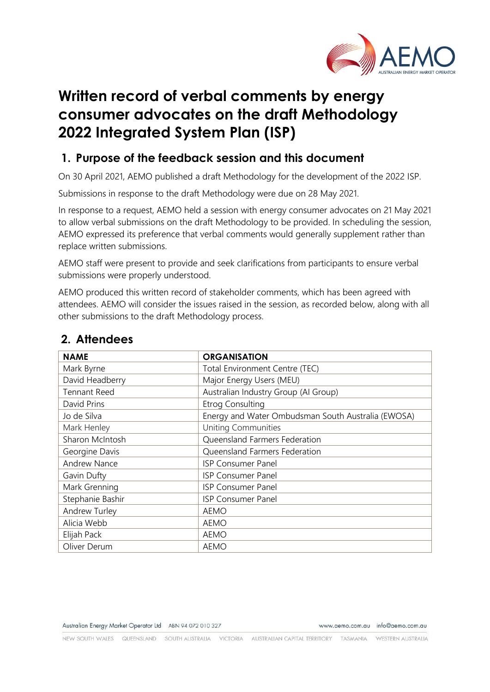

# **Written record of verbal comments by energy consumer advocates on the draft Methodology 2022 Integrated System Plan (ISP)**

## **1. Purpose of the feedback session and this document**

On 30 April 2021, AEMO published a draft Methodology for the development of the 2022 ISP.

Submissions in response to the draft Methodology were due on 28 May 2021.

In response to a request, AEMO held a session with energy consumer advocates on 21 May 2021 to allow verbal submissions on the draft Methodology to be provided. In scheduling the session, AEMO expressed its preference that verbal comments would generally supplement rather than replace written submissions.

AEMO staff were present to provide and seek clarifications from participants to ensure verbal submissions were properly understood.

AEMO produced this written record of stakeholder comments, which has been agreed with attendees. AEMO will consider the issues raised in the session, as recorded below, along with all other submissions to the draft Methodology process.

| <b>NAME</b>         | <b>ORGANISATION</b>                                |
|---------------------|----------------------------------------------------|
| Mark Byrne          | Total Environment Centre (TEC)                     |
| David Headberry     | Major Energy Users (MEU)                           |
| <b>Tennant Reed</b> | Australian Industry Group (Al Group)               |
| David Prins         | <b>Etrog Consulting</b>                            |
| Jo de Silva         | Energy and Water Ombudsman South Australia (EWOSA) |
| Mark Henley         | <b>Uniting Communities</b>                         |
| Sharon McIntosh     | Queensland Farmers Federation                      |
| Georgine Davis      | Queensland Farmers Federation                      |
| <b>Andrew Nance</b> | <b>ISP Consumer Panel</b>                          |
| Gavin Dufty         | <b>ISP Consumer Panel</b>                          |
| Mark Grenning       | <b>ISP Consumer Panel</b>                          |
| Stephanie Bashir    | <b>ISP Consumer Panel</b>                          |
| Andrew Turley       | AEMO                                               |
| Alicia Webb         | <b>AEMO</b>                                        |
| Elijah Pack         | <b>AEMO</b>                                        |
| Oliver Derum        | <b>AEMO</b>                                        |

# **2. Attendees**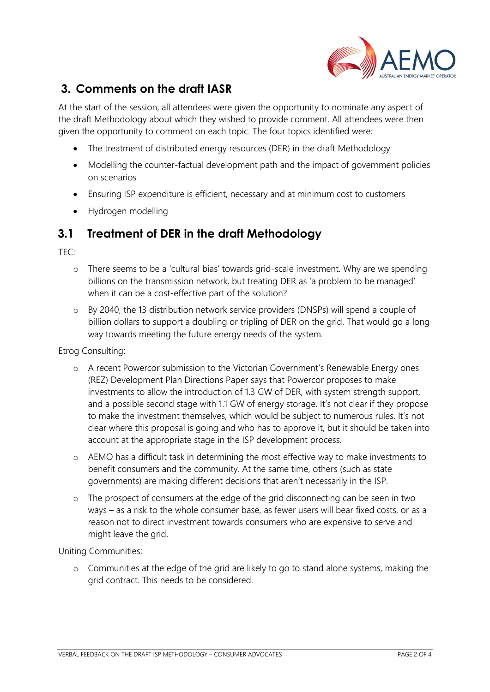

# **3. Comments on the draft IASR**

At the start of the session, all attendees were given the opportunity to nominate any aspect of the draft Methodology about which they wished to provide comment. All attendees were then given the opportunity to comment on each topic. The four topics identified were:

- The treatment of distributed energy resources (DER) in the draft Methodology
- Modelling the counter-factual development path and the impact of government policies on scenarios
- Ensuring ISP expenditure is efficient, necessary and at minimum cost to customers
- Hydrogen modelling

#### **3.1 Treatment of DER in the draft Methodology**

 $TFC$ 

- o There seems to be a 'cultural bias' towards grid-scale investment. Why are we spending billions on the transmission network, but treating DER as 'a problem to be managed' when it can be a cost-effective part of the solution?
- o By 2040, the 13 distribution network service providers (DNSPs) will spend a couple of billion dollars to support a doubling or tripling of DER on the grid. That would go a long way towards meeting the future energy needs of the system.

Etrog Consulting:

- o A recent Powercor submission to the Victorian Government's Renewable Energy ones (REZ) Development Plan Directions Paper says that Powercor proposes to make investments to allow the introduction of 1.3 GW of DER, with system strength support, and a possible second stage with 1.1 GW of energy storage. It's not clear if they propose to make the investment themselves, which would be subject to numerous rules. It's not clear where this proposal is going and who has to approve it, but it should be taken into account at the appropriate stage in the ISP development process.
- o AEMO has a difficult task in determining the most effective way to make investments to benefit consumers and the community. At the same time, others (such as state governments) are making different decisions that aren't necessarily in the ISP.
- o The prospect of consumers at the edge of the grid disconnecting can be seen in two ways – as a risk to the whole consumer base, as fewer users will bear fixed costs, or as a reason not to direct investment towards consumers who are expensive to serve and might leave the grid.

Uniting Communities:

o Communities at the edge of the grid are likely to go to stand alone systems, making the grid contract. This needs to be considered.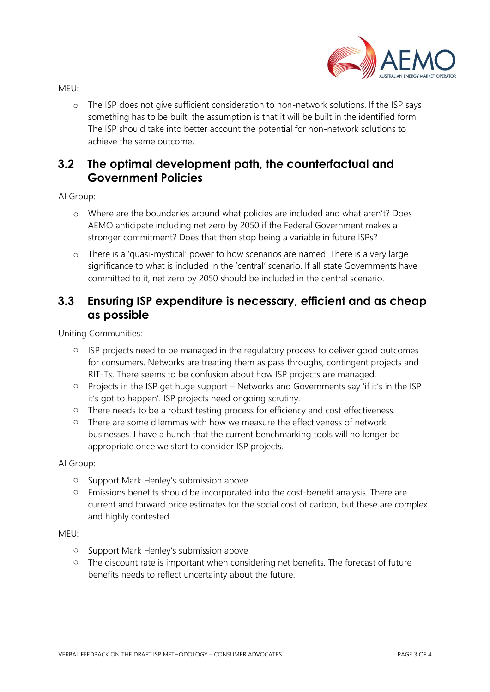

MEU:

o The ISP does not give sufficient consideration to non-network solutions. If the ISP says something has to be built, the assumption is that it will be built in the identified form. The ISP should take into better account the potential for non-network solutions to achieve the same outcome.

### **3.2 The optimal development path, the counterfactual and Government Policies**

AI Group:

- o Where are the boundaries around what policies are included and what aren't? Does AEMO anticipate including net zero by 2050 if the Federal Government makes a stronger commitment? Does that then stop being a variable in future ISPs?
- o There is a 'quasi-mystical' power to how scenarios are named. There is a very large significance to what is included in the 'central' scenario. If all state Governments have committed to it, net zero by 2050 should be included in the central scenario.

### **3.3 Ensuring ISP expenditure is necessary, efficient and as cheap as possible**

Uniting Communities:

- o ISP projects need to be managed in the regulatory process to deliver good outcomes for consumers. Networks are treating them as pass throughs, contingent projects and RIT-Ts. There seems to be confusion about how ISP projects are managed.
- o Projects in the ISP get huge support Networks and Governments say 'if it's in the ISP it's got to happen'. ISP projects need ongoing scrutiny.
- o There needs to be a robust testing process for efficiency and cost effectiveness.
- o There are some dilemmas with how we measure the effectiveness of network businesses. I have a hunch that the current benchmarking tools will no longer be appropriate once we start to consider ISP projects.

AI Group:

- o Support Mark Henley's submission above
- o Emissions benefits should be incorporated into the cost-benefit analysis. There are current and forward price estimates for the social cost of carbon, but these are complex and highly contested.

MEU:

- o Support Mark Henley's submission above
- o The discount rate is important when considering net benefits. The forecast of future benefits needs to reflect uncertainty about the future.